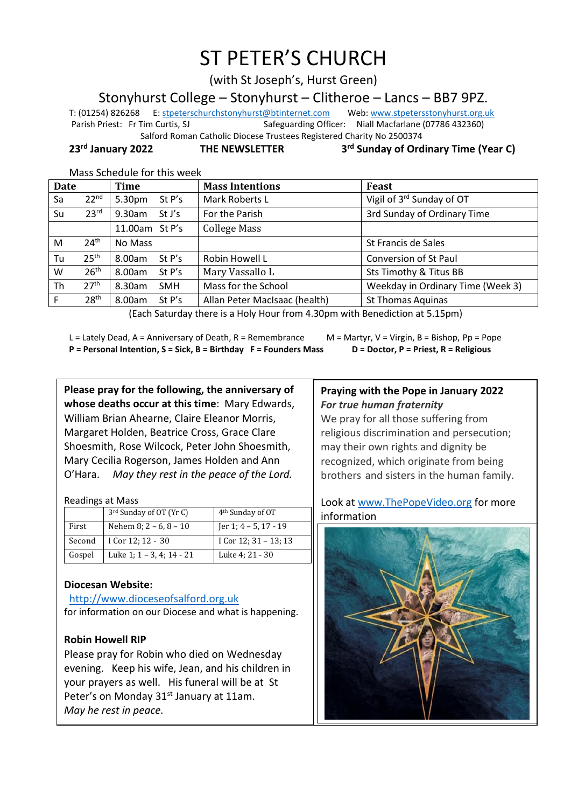# ST PETER'S CHURCH

(with St Joseph's, Hurst Green)

Stonyhurst College – Stonyhurst – Clitheroe – Lancs – BB7 9PZ.

T: (01254) 826268 E[: stpeterschurchstonyhurst@btinternet.com](mailto:stpeterschurchstonyhurst@btinternet.com) Web[: www.stpetersstonyhurst.org.uk](http://www.stpetersstonyhurst.org.uk/) Parish Priest: Fr Tim Curtis, SJ Safeguarding Officer: Niall Macfarlane (07786 432360)

 Salford Roman Catholic Diocese Trustees Registered Charity No 2500374 **rd Sunday of Ordinary Time (Year C)**

**23rd January 2022 THE NEWSLETTER 3**

| Mass Schedule for this week |  |
|-----------------------------|--|
|-----------------------------|--|

| <b>Date</b> |                  | Time                    | <b>Mass Intentions</b>        | Feast                                 |
|-------------|------------------|-------------------------|-------------------------------|---------------------------------------|
| Sa          | 22 <sup>nd</sup> | 5.30pm<br>St P's        | Mark Roberts L                | Vigil of 3 <sup>rd</sup> Sunday of OT |
| Su          | 23 <sup>rd</sup> | 9.30am<br>St J's        | For the Parish                | 3rd Sunday of Ordinary Time           |
|             |                  | 11.00am St P's          | <b>College Mass</b>           |                                       |
| M           | 24 <sup>th</sup> | No Mass                 |                               | St Francis de Sales                   |
| Tu          | 25 <sup>th</sup> | 8.00am<br>St P's        | Robin Howell L                | <b>Conversion of St Paul</b>          |
| W           | 26 <sup>th</sup> | St $P's$<br>8.00am      | Mary Vassallo L               | Sts Timothy & Titus BB                |
| Th          | 27 <sup>th</sup> | $8.30$ am<br><b>SMH</b> | Mass for the School           | Weekday in Ordinary Time (Week 3)     |
|             | 28 <sup>th</sup> | 8.00am<br>St P's        | Allan Peter MacIsaac (health) | <b>St Thomas Aquinas</b>              |

(Each Saturday there is a Holy Hour from 4.30pm with Benediction at 5.15pm)

L = Lately Dead, A = Anniversary of Death, R = Remembrance M = Martyr, V = Virgin, B = Bishop, Pp = Pope **P = Personal Intention, S = Sick, B = Birthday F = Founders Mass D = Doctor, P = Priest, R = Religious**

**Please pray for the following, the anniversary of whose deaths occur at this time**: Mary Edwards, William Brian Ahearne, Claire Eleanor Morris, Margaret Holden, Beatrice Cross, Grace Clare Shoesmith, Rose Wilcock, Peter John Shoesmith, Mary Cecilia Rogerson, James Holden and Ann O'Hara. *May they rest in the peace of the Lord.*

Readings at Mass

|        | 3 <sup>rd</sup> Sunday of OT (Yr C) | 4 <sup>th</sup> Sunday of OT |
|--------|-------------------------------------|------------------------------|
| First  | Nehem 8; $2 - 6$ , $8 - 10$         | Jer 1; 4 – 5, 17 - 19        |
| Second | I Cor 12; 12 - 30                   | I Cor 12; 31 – 13; 13        |
| Gospel | Luke 1; 1 - 3, 4; 14 - 21           | Luke 4: 21 - 30              |

# **Diocesan Website:**

http://www.dioceseofsalford.org.uk for information on our Diocese and what is happening.

# **Robin Howell RIP**

 $\overline{\phantom{a}}$ 

Please pray for Robin who died on Wednesday evening. Keep his wife, Jean, and his children in your prayers as well. His funeral will be at St Peter's on Monday 31<sup>st</sup> January at 11am. *May he rest in peace.*

## **Praying with the Pope in January 2022** *For true human fraternity*

We pray for all those suffering from religious discrimination and persecution; may their own rights and dignity be recognized, which originate from being brothers and sisters in the human family.

# Look at www.ThePopeVideo.org for more information